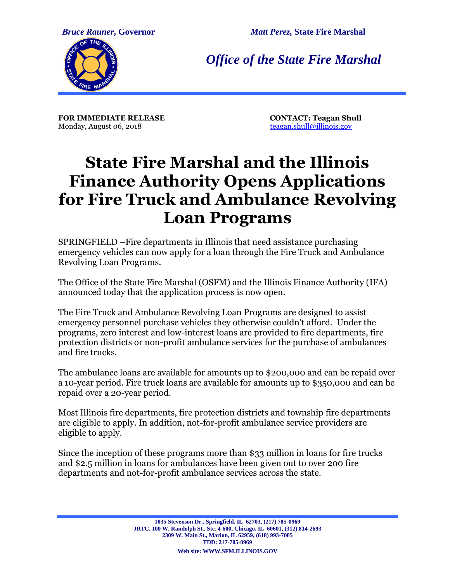*Bruce Rauner***, Governor** *Matt Perez,* **State Fire Marshal**



*Office of the State Fire Marshal*

**FOR IMMEDIATE RELEASE**<br>
Monday. August 06. 2018<br> **CONTACT:** Teagan.shull@illinois.gov Monday, August 06, 2018

## **State Fire Marshal and the Illinois Finance Authority Opens Applications for Fire Truck and Ambulance Revolving Loan Programs**

SPRINGFIELD –Fire departments in Illinois that need assistance purchasing emergency vehicles can now apply for a loan through the Fire Truck and Ambulance Revolving Loan Programs.

The Office of the State Fire Marshal (OSFM) and the Illinois Finance Authority (IFA) announced today that the application process is now open.

The Fire Truck and Ambulance Revolving Loan Programs are designed to assist emergency personnel purchase vehicles they otherwise couldn't afford. Under the programs, zero interest and low-interest loans are provided to fire departments, fire protection districts or non-profit ambulance services for the purchase of ambulances and fire trucks.

The ambulance loans are available for amounts up to \$200,000 and can be repaid over a 10-year period. Fire truck loans are available for amounts up to \$350,000 and can be repaid over a 20-year period.

Most Illinois fire departments, fire protection districts and township fire departments are eligible to apply. In addition, not-for-profit ambulance service providers are eligible to apply.

Since the inception of these programs more than \$33 million in loans for fire trucks and \$2.5 million in loans for ambulances have been given out to over 200 fire departments and not-for-profit ambulance services across the state.